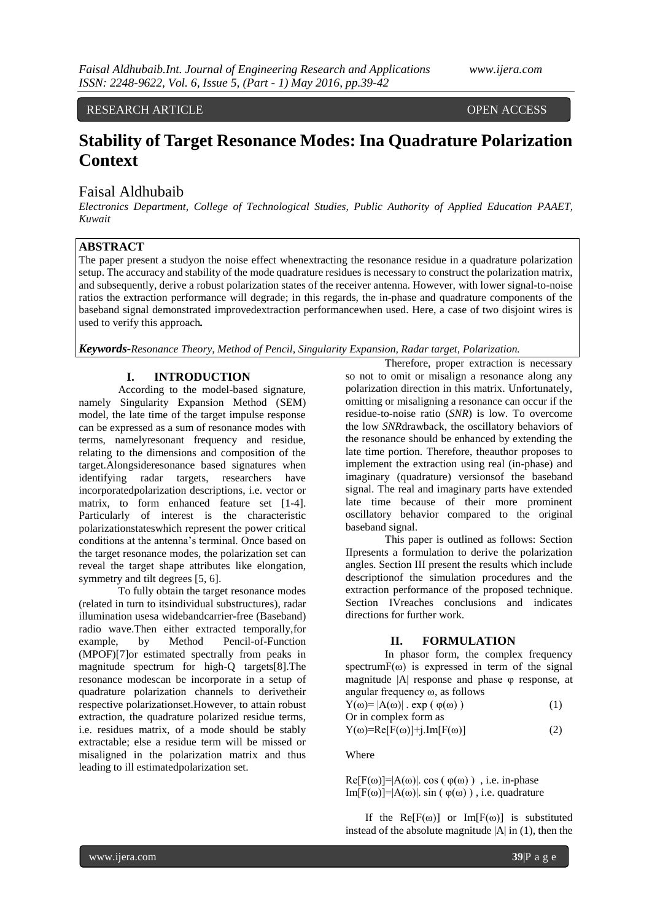## RESEARCH ARTICLE **OPEN ACCESS**

# **Stability of Target Resonance Modes: Ina Quadrature Polarization Context**

# Faisal Aldhubaib

*Electronics Department, College of Technological Studies, Public Authority of Applied Education PAAET, Kuwait*

# **ABSTRACT**

The paper present a studyon the noise effect whenextracting the resonance residue in a quadrature polarization setup. The accuracy and stability of the mode quadrature residues is necessary to construct the polarization matrix, and subsequently, derive a robust polarization states of the receiver antenna. However, with lower signal-to-noise ratios the extraction performance will degrade; in this regards, the in-phase and quadrature components of the baseband signal demonstrated improvedextraction performancewhen used. Here, a case of two disjoint wires is used to verify this approach*.*

*Keywords-Resonance Theory, Method of Pencil, Singularity Expansion, Radar target, Polarization.*

## **I. INTRODUCTION**

According to the model-based signature, namely Singularity Expansion Method (SEM) model, the late time of the target impulse response can be expressed as a sum of resonance modes with terms, namelyresonant frequency and residue, relating to the dimensions and composition of the target.Alongsideresonance based signatures when identifying radar targets, researchers have incorporatedpolarization descriptions, i.e. vector or matrix, to form enhanced feature set [1-4]. Particularly of interest is the characteristic polarizationstateswhich represent the power critical conditions at the antenna's terminal. Once based on the target resonance modes, the polarization set can reveal the target shape attributes like elongation, symmetry and tilt degrees [5, 6].

To fully obtain the target resonance modes (related in turn to itsindividual substructures), radar illumination usesa widebandcarrier-free (Baseband) radio wave.Then either extracted temporally,for example, by Method Pencil-of-Function (MPOF)[7]or estimated spectrally from peaks in magnitude spectrum for high-Q targets[8].The resonance modescan be incorporate in a setup of quadrature polarization channels to derivetheir respective polarizationset.However, to attain robust extraction, the quadrature polarized residue terms, i.e. residues matrix, of a mode should be stably extractable; else a residue term will be missed or misaligned in the polarization matrix and thus leading to ill estimatedpolarization set.

Therefore, proper extraction is necessary so not to omit or misalign a resonance along any polarization direction in this matrix. Unfortunately, omitting or misaligning a resonance can occur if the residue-to-noise ratio (*SNR*) is low. To overcome the low *SNR*drawback, the oscillatory behaviors of the resonance should be enhanced by extending the late time portion. Therefore, theauthor proposes to implement the extraction using real (in-phase) and imaginary (quadrature) versionsof the baseband signal. The real and imaginary parts have extended late time because of their more prominent oscillatory behavior compared to the original baseband signal.

This paper is outlined as follows: Section IIpresents a formulation to derive the polarization angles. Section III present the results which include descriptionof the simulation procedures and the extraction performance of the proposed technique. Section [IVr](#page-3-0)eaches conclusions and indicates directions for further work.

#### <span id="page-0-0"></span>**II. FORMULATION**

In phasor form, the complex frequency spectrum $F(\omega)$  is expressed in term of the signal magnitude |A| response and phase φ response, at angular frequency ω, as follows

$$
Y(\omega) = |A(\omega)| \cdot \exp(\varphi(\omega))
$$
 (1)  
Or in complex form as

$$
Y(\omega) = Re[F(\omega)] + j. Im[F(\omega)] \tag{2}
$$

Where

 $Re[F(\omega)] = |A(\omega)|$ . cos ( $\varphi(\omega)$ ), i.e. in-phase Im[F( $\omega$ )]=|A( $\omega$ )|. sin ( $\varphi(\omega)$ ), i.e. quadrature

If the  $Re[F(\omega)]$  or  $Im[F(\omega)]$  is substituted instead of the absolute magnitude  $|A|$  in [\(1\),](#page-0-0) then the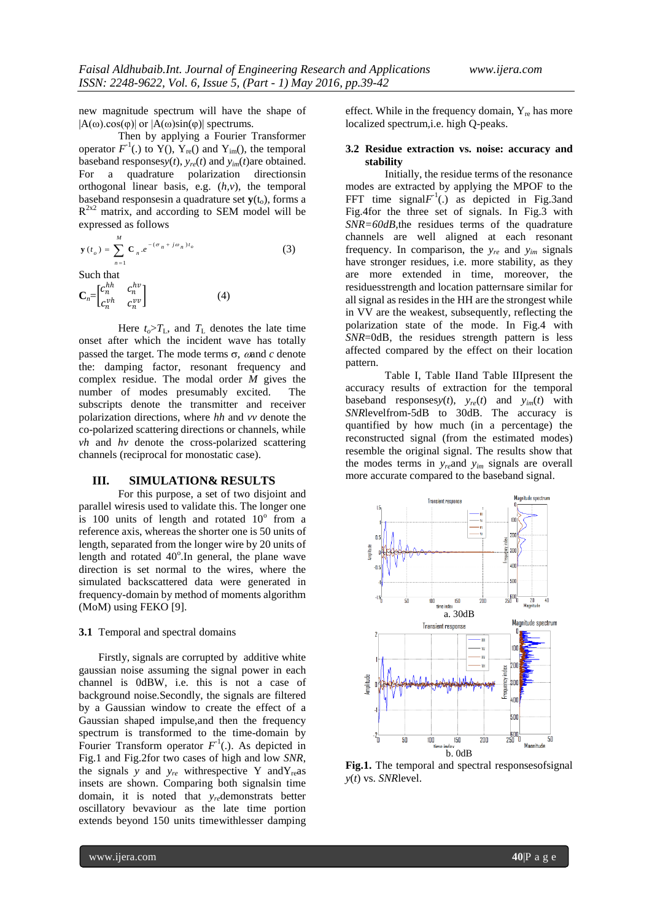new magnitude spectrum will have the shape of  $|A(\omega)\cos(\varphi)|$  or  $|A(\omega)\sin(\varphi)|$  spectrums.

Then by applying a Fourier Transformer operator  $F^1$ (.) to Y(),  $Y_{\text{re}}$ () and Y<sub>im</sub>(), the temporal baseband responses $y(t)$ ,  $y_{re}(t)$  and  $y_{im}(t)$  are obtained.<br>For a quadrature polarization directions in a quadrature polarization directionsin orthogonal linear basis, e.g. (*h,v*), the temporal baseband responses in a quadrature set  $\mathbf{v}(t_0)$ , forms a  $R^{2x2}$  matrix, and according to SEM model will be expressed as follows

$$
\mathbf{y}(t_o) = \sum_{n=1}^{M} \mathbf{C}_n e^{-(\sigma_n + j\omega_n)t_o}
$$
(3)

Such that

$$
\mathbf{C}_n = \begin{bmatrix} c_n^{hh} & c_n^{hv} \\ c_n^{vh} & c_n^{vv} \end{bmatrix} \tag{4}
$$

Here  $t_o > T_L$ , and  $T_L$  denotes the late time onset after which the incident wave has totally passed the target. The mode terms  $\sigma$ ,  $\omega$  and  $c$  denote the: damping factor*,* resonant frequency and complex residue. The modal order *M* gives the number of modes presumably excited. The subscripts denote the transmitter and receiver polarization directions, where *hh* and *vv* denote the co-polarized scattering directions or channels, while *vh* and *hv* denote the cross-polarized scattering channels (reciprocal for monostatic case).

#### **III. SIMULATION& RESULTS**

For this purpose, a set of two disjoint and parallel wiresis used to validate this. The longer one is 100 units of length and rotated  $10^{\circ}$  from a reference axis, whereas the shorter one is 50 units of length, separated from the longer wire by 20 units of length and rotated  $40^{\circ}$ . In general, the plane wave direction is set normal to the wires, where the simulated backscattered data were generated in frequency-domain by method of moments algorithm (MoM) using FEKO [9].

#### **3.1** Temporal and spectral domains

Firstly, signals are corrupted by additive white gaussian noise assuming the signal power in each channel is 0dBW, i.e. this is not a case of background noise.Secondly, the signals are filtered by a Gaussian window to create the effect of a Gaussian shaped impulse,and then the frequency spectrum is transformed to the time-domain by Fourier Transform operator  $F^1$ (.). As depicted in [Fig.1](#page-1-0) and [Fig.2f](#page-2-0)or two cases of high and low *SNR*, the signals *y* and  $y_{re}$  withrespective Y and  $Y_{re}$  as insets are shown. Comparing both signalsin time domain, it is noted that *yre*demonstrats better oscillatory bevaviour as the late time portion extends beyond 150 units timewithlesser damping

effect. While in the frequency domain,  $Y_{\text{re}}$  has more localized spectrum,i.e. high Q-peaks.

## **3.2 Residue extraction vs. noise: accuracy and stability**

Initially, the residue terms of the resonance modes are extracted by applying the MPOF to the FFT time signal $F<sup>-1</sup>(.)$  as depicted in [Fig.3a](#page-2-1)nd [Fig.4f](#page-2-2)or the three set of signals. In [Fig.3](#page-2-1) with *SNR=60dB,*the residues terms of the quadrature channels are well aligned at each resonant frequency. In comparison, the  $y_{re}$  and  $y_{im}$  signals have stronger residues, i.e. more stability, as they are more extended in time, moreover, the residuesstrength and location patternsare similar for all signal as resides in the HH are the strongest while in VV are the weakest, subsequently, reflecting the polarization state of the mode. In [Fig.4](#page-2-2) with *SNR*=0dB, the residues strength pattern is less affected compared by the effect on their location pattern.

[Table I,](#page-2-3) [Table IIa](#page-3-1)nd Table IIIpresent the accuracy results of extraction for the temporal baseband responses $y(t)$ ,  $y_{re}(t)$  and  $y_{im}(t)$  with *SNR*levelfrom-5dB to 30dB. The accuracy is quantified by how much (in a percentage) the reconstructed signal (from the estimated modes) resemble the original signal. The results show that the modes terms in *yre*and *yim* signals are overall more accurate compared to the baseband signal.



<span id="page-1-0"></span>**Fig.1.** The temporal and spectral responsesofsignal *y*(*t*) vs. *SNR*level.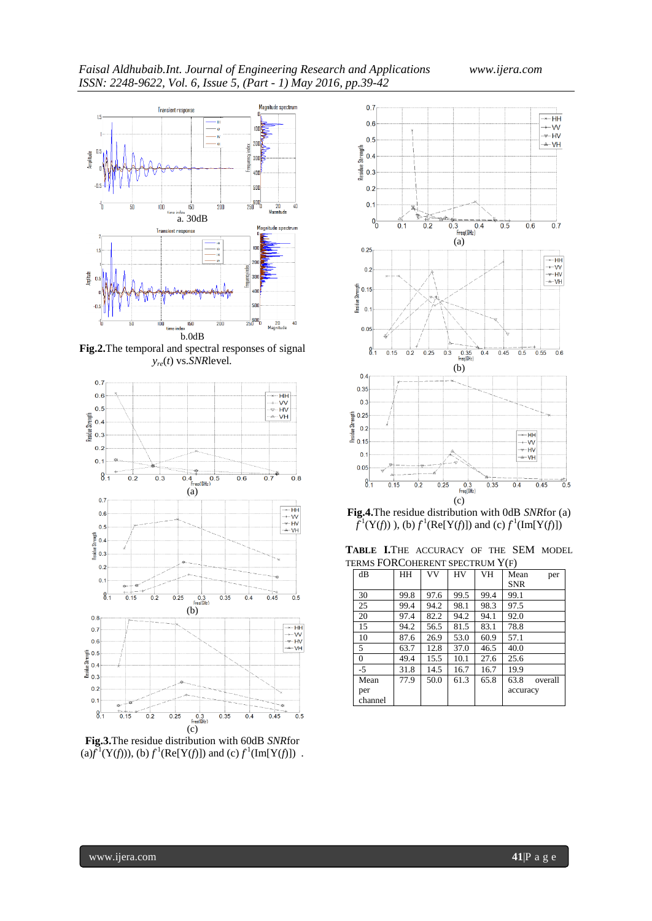

<span id="page-2-0"></span>**Fig.2.**The temporal and spectral responses of signal *yre*(*t*) vs.*SNR*level*.*



<span id="page-2-1"></span>**Fig.3.**The residue distribution with 60dB *SNR*for  $(a) f^{\mathbf{1}}(\mathbf{Y}(f))), (b) f^{\mathbf{1}}(\text{Re}[\mathbf{Y}(f)])$  and  $(c) f^{\mathbf{1}}(\text{Im}[\mathbf{Y}(f)])$ .



<span id="page-2-2"></span>**Fig.4.**The residue distribution with 0dB *SNR*for (a)  $f^1(Y(f))$ , (b)  $f^1(Re[Y(f)])$  and (c)  $f^1(Im[Y(f)])$ 

<span id="page-2-3"></span>**TABLE I.**THE ACCURACY OF THE SEM MODEL TERMS FORCOHERENT SPECTRUM Y(F)

| dB       | HH   | VV   | HV   | <b>VH</b> | Mean       | per     |
|----------|------|------|------|-----------|------------|---------|
|          |      |      |      |           | <b>SNR</b> |         |
| 30       | 99.8 | 97.6 | 99.5 | 99.4      | 99.1       |         |
| 25       | 99.4 | 94.2 | 98.1 | 98.3      | 97.5       |         |
| 20       | 97.4 | 82.2 | 94.2 | 94.1      | 92.0       |         |
| 15       | 94.2 | 56.5 | 81.5 | 83.1      | 78.8       |         |
| 10       | 87.6 | 26.9 | 53.0 | 60.9      | 57.1       |         |
| 5        | 63.7 | 12.8 | 37.0 | 46.5      | 40.0       |         |
| $\Omega$ | 49.4 | 15.5 | 10.1 | 27.6      | 25.6       |         |
| -5       | 31.8 | 14.5 | 16.7 | 16.7      | 19.9       |         |
| Mean     | 77.9 | 50.0 | 61.3 | 65.8      | 63.8       | overall |
| per      |      |      |      |           | accuracy   |         |
| channel  |      |      |      |           |            |         |